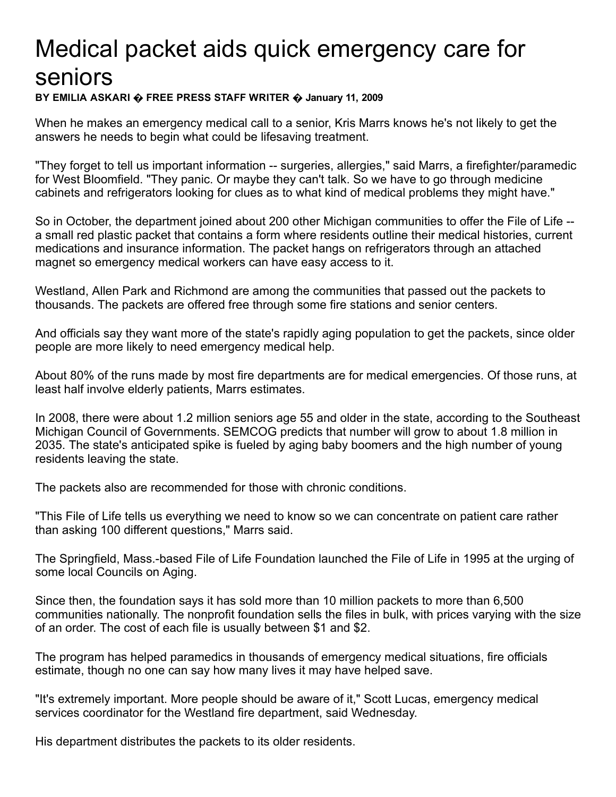## Medical packet aids quick emergency care for seniors

BY EMILIA ASKARI  $\hat{\mathbf{\Theta}}$  FREE PRESS STAFF WRITER  $\hat{\mathbf{\Theta}}$  January 11, 2009

When he makes an emergency medical call to a senior, Kris Marrs knows he's not likely to get the answers he needs to begin what could be lifesaving treatment.

"They forget to tell us important information -- surgeries, allergies," said Marrs, a firefighter/paramedic for West Bloomfield. "They panic. Or maybe they can't talk. So we have to go through medicine cabinets and refrigerators looking for clues as to what kind of medical problems they might have."

So in October, the department joined about 200 other Michigan communities to offer the File of Life a small red plastic packet that contains a form where residents outline their medical histories, current medications and insurance information. The packet hangs on refrigerators through an attached magnet so emergency medical workers can have easy access to it.

Westland, Allen Park and Richmond are among the communities that passed out the packets to thousands. The packets are offered free through some fire stations and senior centers.

And officials say they want more of the state's rapidly aging population to get the packets, since older people are more likely to need emergency medical help.

About 80% of the runs made by most fire departments are for medical emergencies. Of those runs, at least half involve elderly patients, Marrs estimates.

In 2008, there were about 1.2 million seniors age 55 and older in the state, according to the Southeast Michigan Council of Governments. SEMCOG predicts that number will grow to about 1.8 million in 2035. The state's anticipated spike is fueled by aging baby boomers and the high number of young residents leaving the state.

The packets also are recommended for those with chronic conditions.

"This File of Life tells us everything we need to know so we can concentrate on patient care rather than asking 100 different questions," Marrs said.

The Springfield, Mass.-based File of Life Foundation launched the File of Life in 1995 at the urging of some local Councils on Aging.

Since then, the foundation says it has sold more than 10 million packets to more than 6,500 communities nationally. The nonprofit foundation sells the files in bulk, with prices varying with the size of an order. The cost of each file is usually between \$1 and \$2.

The program has helped paramedics in thousands of emergency medical situations, fire officials estimate, though no one can say how many lives it may have helped save.

"It's extremely important. More people should be aware of it," Scott Lucas, emergency medical services coordinator for the Westland fire department, said Wednesday.

His department distributes the packets to its older residents.